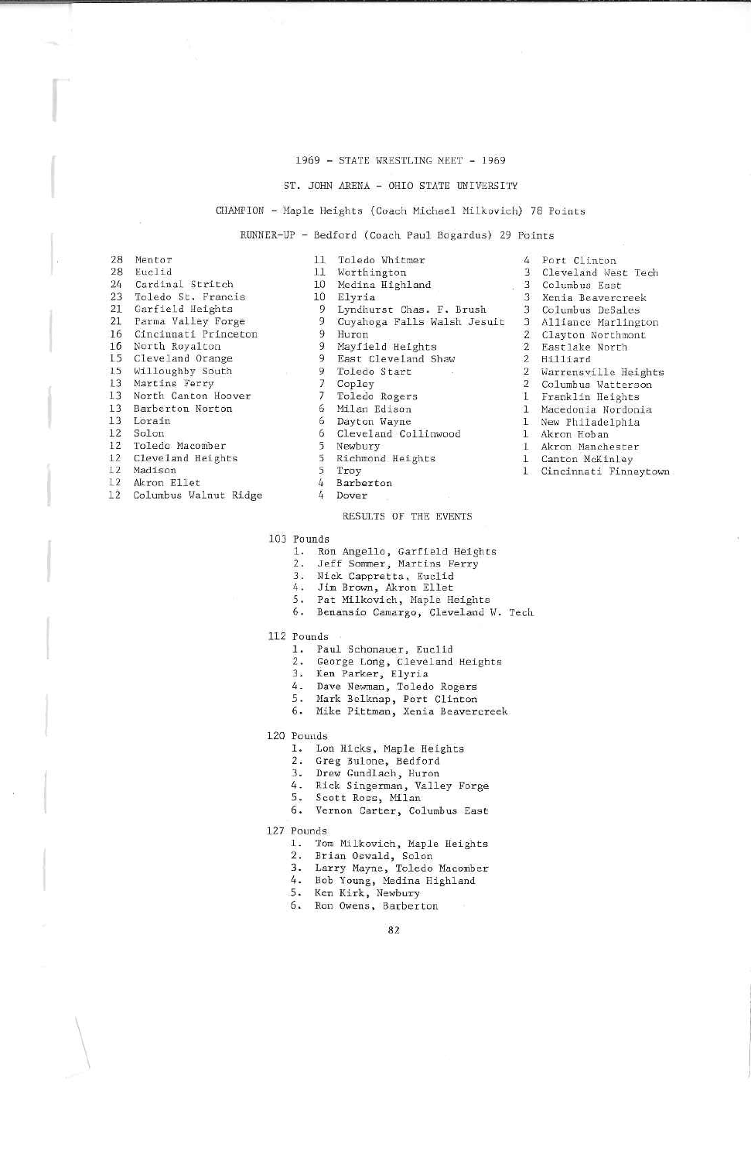## 1969 - STATE WRESTLING MEET - 1969

## ST. JOHN ARENA - OHIO STATE UNIVERSITY

## CHAMPION - Maple Heights (Coach Michael Milkovich) 78 Points

Lyndhurst Chas. F. Brush

Cuyahoga Falls Walsh Jesuit

RUNNER-UP - Bedford (Coach Paul Bogardus) 29 Points Toledo Whitmer

| 28 | Mentor               |
|----|----------------------|
| 28 | Euclid               |
| 24 | Cardinal Stritch     |
| 23 | Toledo St. Francis   |
| 21 | Garfield Heights     |
| 21 | Parma Valley Forge   |
| 16 | Cincinnati Princeton |
| 16 | North Royalton       |
| 15 | Cleveland Orange     |
| 15 | Willoughby South     |
| 13 | Martins Ferry        |
| 13 | North Canton Hoover  |
| 13 | Barberton Norton     |
| 13 | Lorain               |
| 12 | Solon                |
|    | 12 Toledo Macomber   |
| 12 | Cleveland Heights    |

- 12 Madison
- $12$ Akron Ellet
- $12$ Columbus Walnut Ridge

 $\ddot{q}$ Huron  $\alpha$ Mayfield Heights  $\alpha$ East Cleveland Shaw

Worthington

Medina Highland

- $Q$ Toledo Start
- 
- $\overline{7}$ Copley

10 Elyria

- Toledo Rogers
- Milan Edison 6
- 6 Dayton Wayne
- $\overline{6}$ Cleveland Collinwood
- 5 Newbury
- 
- Richmond Heights 5
- Troy  $\overline{5}$

 $11$ 

 $11$ 

 $10$ 

Q.

 $\overline{q}$ 

- $\overline{h}$ Barberton
- 4 Dover

## RESULTS OF THE EVENTS

- 103 Pounds
	- 1. Ron Angello, Garfield Heights<br>2. Jeff Sommer, Martins Ferry
	-
	- 3. Nick Cappretta, Euclid
	- 4. Jim Brown, Akron Ellet
	- 5. Pat Milkovich, Maple Heights
	- 6. Benansio Camargo, Cleveland W. Tech
- 112 Pounds
	- 1. Paul Schonauer, Euclid
	- 2. George Long, Cleveland Heights<br>3. Ken Parker, Elyria
	-
	- 4. Dave Newman, Toledo Rogers
	-
	- 5. Mark Belknap, Port Clinton<br>6. Mike Pittman, Xenia Beavercreek
- 120 Pounds
	- 1. Lon Hicks, Maple Heights
	-
	- 2. Greg Bulone, Bedford
	- 3. Drew Gundlach, Huron
	- 4. Rick Singerman, Valley Forge
	- $5.$ Scott Ross, Milan
	- 6. Vernon Carter, Columbus East
- 127 Pounds
	- 1. Tom Milkovich, Maple Heights
	-
	- 2. Brian Oswald, Solon<br>3. Larry Mayne, Toledo Macomber<br>4. Bob Young, Medina Highland
	-
	-
	- 5. Ken Kirk, Newbury<br>6. Ron Owens, Barberton
		- 82
- 3 Columbus East 3 Xenia Beavercreek 3 Columbus DeSales 3 Alliance Marlington 2 Clayton Northmont 2 Eastlake North 2 Hilliard 2 Warrensville Heights 2 Columbus Watterson 1 Franklin Heights Macedonia Nordonia 1 New Philadelphia
- 1 Akron Hoban
- 1 Akron Manchester

 $\mathbf{1}$ 

4 Port Clinton 3 Cleveland West Tech

- 
- 1 Canton McKinley<br>1 Cincinnati Finneytown